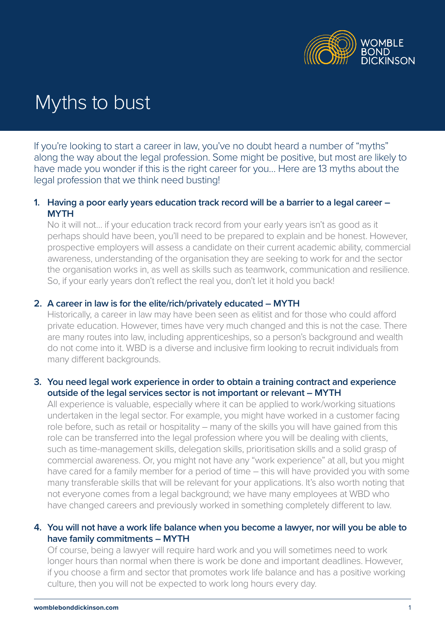

# Myths to bust

If you're looking to start a career in law, you've no doubt heard a number of "myths" along the way about the legal profession. Some might be positive, but most are likely to have made you wonder if this is the right career for you… Here are 13 myths about the legal profession that we think need busting!

### **1. Having a poor early years education track record will be a barrier to a legal career – MYTH**

No it will not… if your education track record from your early years isn't as good as it perhaps should have been, you'll need to be prepared to explain and be honest. However, prospective employers will assess a candidate on their current academic ability, commercial awareness, understanding of the organisation they are seeking to work for and the sector the organisation works in, as well as skills such as teamwork, communication and resilience. So, if your early years don't reflect the real you, don't let it hold you back!

#### **2. A career in law is for the elite/rich/privately educated – MYTH**

Historically, a career in law may have been seen as elitist and for those who could afford private education. However, times have very much changed and this is not the case. There are many routes into law, including apprenticeships, so a person's background and wealth do not come into it. WBD is a diverse and inclusive firm looking to recruit individuals from many different backgrounds.

#### **3. You need legal work experience in order to obtain a training contract and experience outside of the legal services sector is not important or relevant – MYTH**

All experience is valuable, especially where it can be applied to work/working situations undertaken in the legal sector. For example, you might have worked in a customer facing role before, such as retail or hospitality – many of the skills you will have gained from this role can be transferred into the legal profession where you will be dealing with clients, such as time-management skills, delegation skills, prioritisation skills and a solid grasp of commercial awareness. Or, you might not have any "work experience" at all, but you might have cared for a family member for a period of time – this will have provided you with some many transferable skills that will be relevant for your applications. It's also worth noting that not everyone comes from a legal background; we have many employees at WBD who have changed careers and previously worked in something completely different to law.

## **4. You will not have a work life balance when you become a lawyer, nor will you be able to have family commitments – MYTH**

Of course, being a lawyer will require hard work and you will sometimes need to work longer hours than normal when there is work be done and important deadlines. However, if you choose a firm and sector that promotes work life balance and has a positive working culture, then you will not be expected to work long hours every day.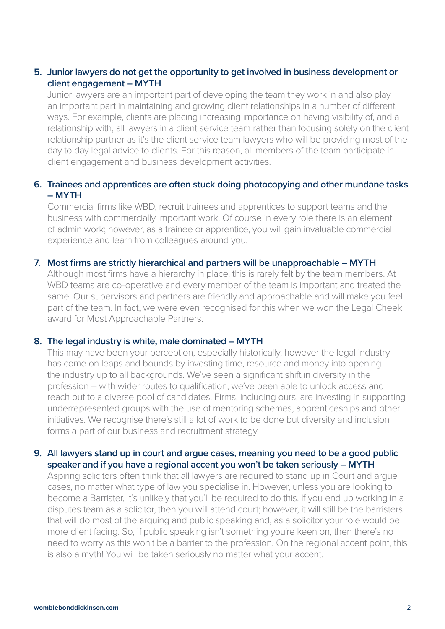# **5. Junior lawyers do not get the opportunity to get involved in business development or client engagement – MYTH**

Junior lawyers are an important part of developing the team they work in and also play an important part in maintaining and growing client relationships in a number of different ways. For example, clients are placing increasing importance on having visibility of, and a relationship with, all lawyers in a client service team rather than focusing solely on the client relationship partner as it's the client service team lawyers who will be providing most of the day to day legal advice to clients. For this reason, all members of the team participate in client engagement and business development activities.

## **6. Trainees and apprentices are often stuck doing photocopying and other mundane tasks – MYTH**

Commercial firms like WBD, recruit trainees and apprentices to support teams and the business with commercially important work. Of course in every role there is an element of admin work; however, as a trainee or apprentice, you will gain invaluable commercial experience and learn from colleagues around you.

#### **7. Most firms are strictly hierarchical and partners will be unapproachable – MYTH**

Although most firms have a hierarchy in place, this is rarely felt by the team members. At WBD teams are co-operative and every member of the team is important and treated the same. Our supervisors and partners are friendly and approachable and will make you feel part of the team. In fact, we were even recognised for this when we won the Legal Cheek award for Most Approachable Partners.

### **8. The legal industry is white, male dominated – MYTH**

This may have been your perception, especially historically, however the legal industry has come on leaps and bounds by investing time, resource and money into opening the industry up to all backgrounds. We've seen a significant shift in diversity in the profession – with wider routes to qualification, we've been able to unlock access and reach out to a diverse pool of candidates. Firms, including ours, are investing in supporting underrepresented groups with the use of mentoring schemes, apprenticeships and other initiatives. We recognise there's still a lot of work to be done but diversity and inclusion forms a part of our business and recruitment strategy.

#### **9. All lawyers stand up in court and argue cases, meaning you need to be a good public speaker and if you have a regional accent you won't be taken seriously – MYTH**

Aspiring solicitors often think that all lawyers are required to stand up in Court and argue cases, no matter what type of law you specialise in. However, unless you are looking to become a Barrister, it's unlikely that you'll be required to do this. If you end up working in a disputes team as a solicitor, then you will attend court; however, it will still be the barristers that will do most of the arguing and public speaking and, as a solicitor your role would be more client facing. So, if public speaking isn't something you're keen on, then there's no need to worry as this won't be a barrier to the profession. On the regional accent point, this is also a myth! You will be taken seriously no matter what your accent.